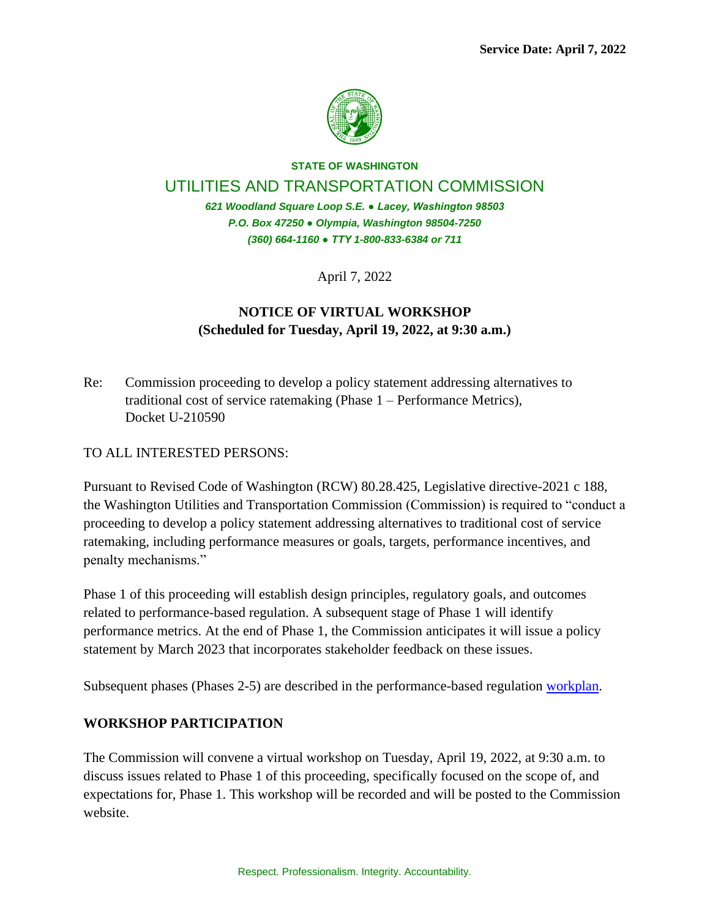

# **STATE OF WASHINGTON** UTILITIES AND TRANSPORTATION COMMISSION *621 Woodland Square Loop S.E. ● Lacey, Washington 98503*

*P.O. Box 47250 ● Olympia, Washington 98504-7250 (360) 664-1160 ● TTY 1-800-833-6384 or 711*

April 7, 2022

# **NOTICE OF VIRTUAL WORKSHOP (Scheduled for Tuesday, April 19, 2022, at 9:30 a.m.)**

Re: Commission proceeding to develop a policy statement addressing alternatives to traditional cost of service ratemaking (Phase 1 – Performance Metrics), Docket U-210590

## TO ALL INTERESTED PERSONS:

Pursuant to Revised Code of Washington (RCW) 80.28.425, Legislative directive-2021 c 188, the Washington Utilities and Transportation Commission (Commission) is required to "conduct a proceeding to develop a policy statement addressing alternatives to traditional cost of service ratemaking, including performance measures or goals, targets, performance incentives, and penalty mechanisms."

Phase 1 of this proceeding will establish design principles, regulatory goals, and outcomes related to performance-based regulation. A subsequent stage of Phase 1 will identify performance metrics. At the end of Phase 1, the Commission anticipates it will issue a policy statement by March 2023 that incorporates stakeholder feedback on these issues.

Subsequent phases (Phases 2-5) are described in the performance-based regulation [workplan.](https://apiproxy.utc.wa.gov/cases/GetDocument?docID=29&year=2021&docketNumber=210590)

## **WORKSHOP PARTICIPATION**

The Commission will convene a virtual workshop on Tuesday, April 19, 2022, at 9:30 a.m. to discuss issues related to Phase 1 of this proceeding, specifically focused on the scope of, and expectations for, Phase 1. This workshop will be recorded and will be posted to the Commission website.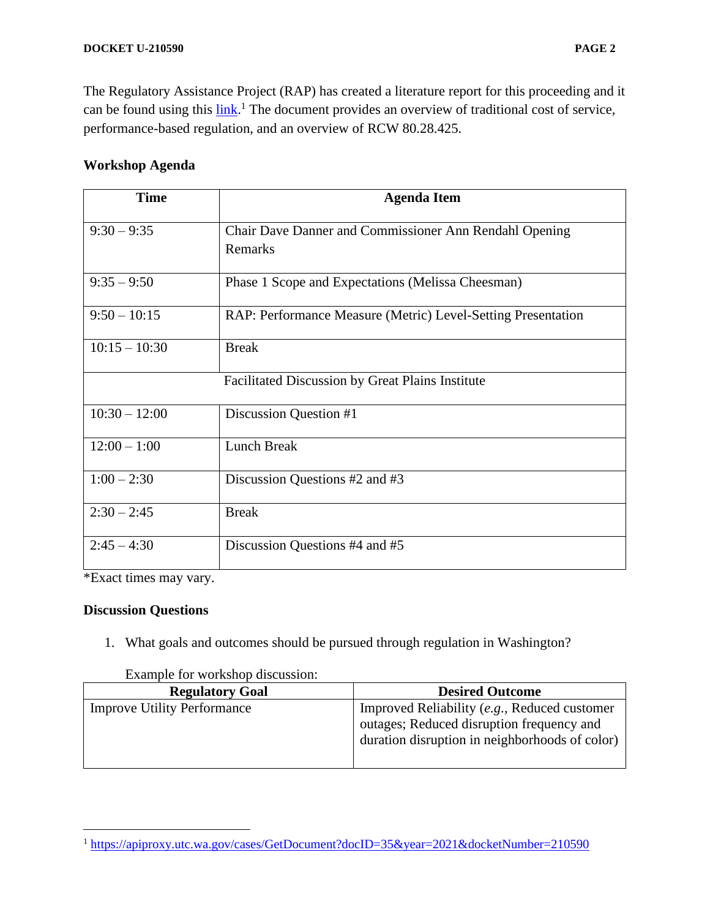The Regulatory Assistance Project (RAP) has created a literature report for this proceeding and it can be found using this  $\frac{\text{link}}{\text{l}}$ . The document provides an overview of traditional cost of service, performance-based regulation, and an overview of RCW 80.28.425.

### **Workshop Agenda**

| <b>Time</b>     | <b>Agenda Item</b>                                           |
|-----------------|--------------------------------------------------------------|
| $9:30 - 9:35$   | Chair Dave Danner and Commissioner Ann Rendahl Opening       |
|                 | Remarks                                                      |
| $9:35 - 9:50$   | Phase 1 Scope and Expectations (Melissa Cheesman)            |
| $9:50 - 10:15$  | RAP: Performance Measure (Metric) Level-Setting Presentation |
| $10:15 - 10:30$ | <b>Break</b>                                                 |
|                 | <b>Facilitated Discussion by Great Plains Institute</b>      |
| $10:30 - 12:00$ | Discussion Question #1                                       |
| $12:00 - 1:00$  | <b>Lunch Break</b>                                           |
| $1:00 - 2:30$   | Discussion Questions #2 and #3                               |
| $2:30 - 2:45$   | <b>Break</b>                                                 |
| $2:45 - 4:30$   | Discussion Questions #4 and #5                               |

\*Exact times may vary.

#### **Discussion Questions**

1. What goals and outcomes should be pursued through regulation in Washington?

| <b>Regulatory Goal</b>             | <b>Desired Outcome</b>                                                                                                                      |
|------------------------------------|---------------------------------------------------------------------------------------------------------------------------------------------|
| <b>Improve Utility Performance</b> | Improved Reliability (e.g., Reduced customer<br>outages; Reduced disruption frequency and<br>duration disruption in neighborhoods of color) |

#### Example for workshop discussion:

<sup>1</sup> <https://apiproxy.utc.wa.gov/cases/GetDocument?docID=35&year=2021&docketNumber=210590>